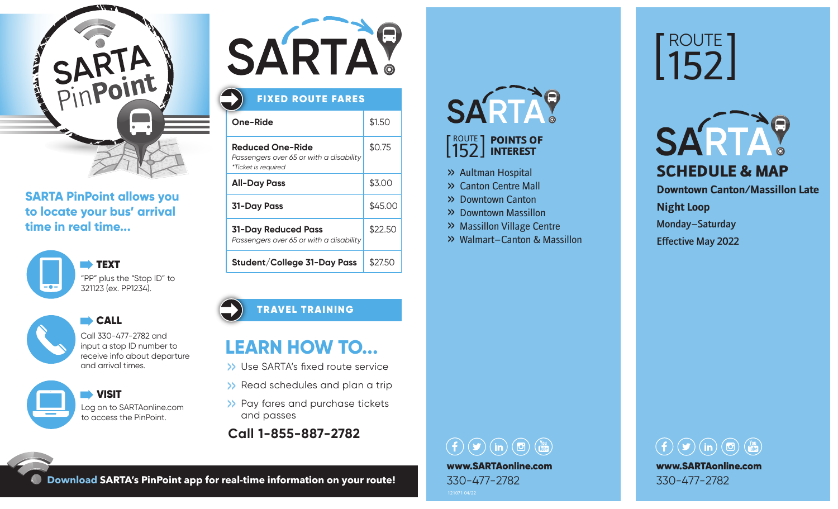

### **SARTA PinPoint allows you to locate your bus' arrival time in real time...**





CALL CALL

Call 330-477-2782 and input a stop ID number to receive info about departure and arrival times.

 VISIT Log on to SARTAonline.com to access the PinPoint.



## FIXED ROUTE FARES

| One-Ride                                                                                  | \$1.50  |
|-------------------------------------------------------------------------------------------|---------|
| <b>Reduced One-Ride</b><br>Passengers over 65 or with a disability<br>*Ticket is required | \$0.75  |
| <b>All-Day Pass</b>                                                                       | \$3.00  |
| <b>31-Day Pass</b>                                                                        | \$45.00 |
| 31-Day Reduced Pass<br>Passengers over 65 or with a disability                            | \$22.50 |
| Student/College 31-Day Pass                                                               | \$27.50 |

### TRAVEL TRAINING

# **LEARN HOW TO...**

- >> Use SARTA's fixed route service
- >> Read schedules and plan a trip
- >> Pay fares and purchase tickets and passes
- **Call 1-855-887-2782**

# SARTAY

### ROUTE 152 POINTS OF INTEREST

- >> Aultman Hospital
- >> Canton Centre Mall
- >> Downtown Canton
- >> Downtown Massillon
- >> Massillon Village Centre
- >> Walmart–Canton & Massillon

# ROUTE 152



**Downtown Canton/Massillon Late Night Loop** Monday–Saturday

Effective May 2022

## $\textcircled{\fbox{f}}\textcircled{\fbox{f}}\textcircled{\fbox{f}}\textcircled{\fbox{f}}\textcircled{\fbox{f}}\textcircled{\fbox{f}}\textcircled{\fbox{f}}\textcircled{\fbox{f}}\textcircled{\fbox{f}}\textcircled{\fbox{f}}\textcircled{\fbox{f}}\textcircled{\fbox{f}}\textcircled{\fbox{f}}\textcircled{\fbox{f}}\textcircled{\fbox{f}}\textcircled{\fbox{f}}\textcircled{\fbox{f}}\textcircled{\fbox{f}}\textcircled{\fbox{f}}\textcircled{\fbox{f}}\textcircled{\fbox{f}}\textcircled{\fbox{f}}$ www.SARTAonline.com 330-477-2782



**Download SARTA's PinPoint app for real-time information on your route!**